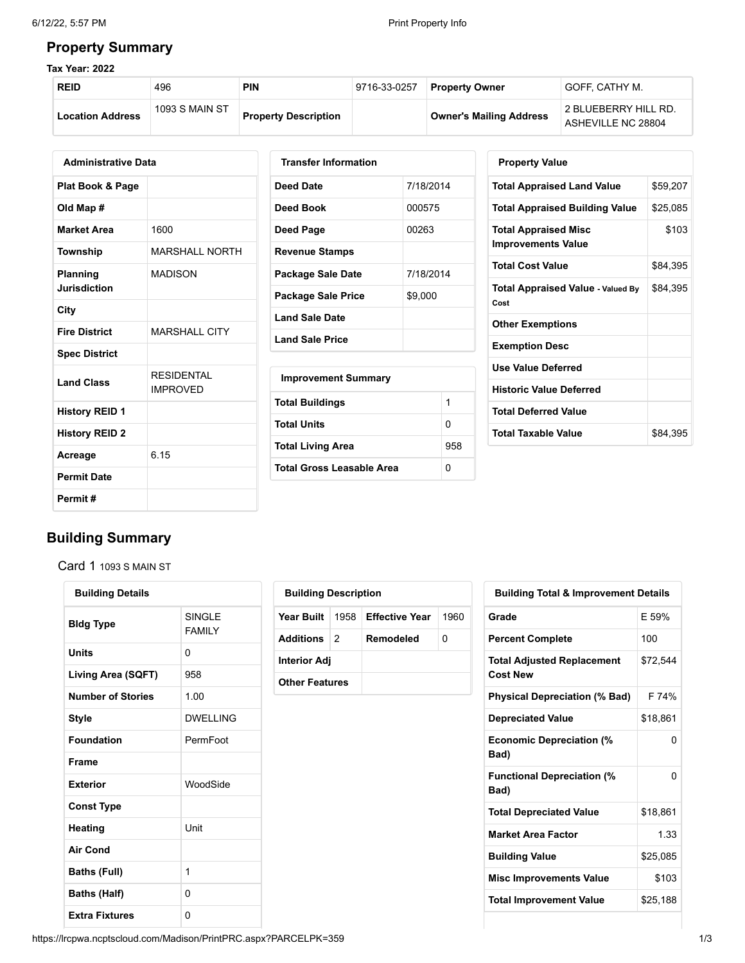#### **Property Summary**

#### **Tax Year: 2022**

| <b>REID</b>             | 496            | PIN                         | 9716-33-0257 | <b>Property Owner</b>          | GOFF. CATHY M.                             |
|-------------------------|----------------|-----------------------------|--------------|--------------------------------|--------------------------------------------|
| <b>Location Address</b> | 1093 S MAIN ST | <b>Property Description</b> |              | <b>Owner's Mailing Address</b> | 2 BLUEBERRY HILL RD.<br>ASHEVILLE NC 28804 |

| <b>Administrative Data</b>  |                                      |  |  |  |  |  |
|-----------------------------|--------------------------------------|--|--|--|--|--|
| <b>Plat Book &amp; Page</b> |                                      |  |  |  |  |  |
| Old Map #                   |                                      |  |  |  |  |  |
| <b>Market Area</b>          | 1600                                 |  |  |  |  |  |
| Township                    | <b>MARSHALL NORTH</b>                |  |  |  |  |  |
| Planning<br>Jurisdiction    | MADISON                              |  |  |  |  |  |
| City                        |                                      |  |  |  |  |  |
| <b>Fire District</b>        | <b>MARSHALL CITY</b>                 |  |  |  |  |  |
| <b>Spec District</b>        |                                      |  |  |  |  |  |
| <b>Land Class</b>           | <b>RESIDENTAL</b><br><b>IMPROVED</b> |  |  |  |  |  |
| <b>History REID 1</b>       |                                      |  |  |  |  |  |
| <b>History REID 2</b>       |                                      |  |  |  |  |  |
| Acreage                     | 6.15                                 |  |  |  |  |  |
| <b>Permit Date</b>          |                                      |  |  |  |  |  |
| Permit#                     |                                      |  |  |  |  |  |

| <b>Transfer Information</b> |           |
|-----------------------------|-----------|
| Deed Date                   | 7/18/2014 |
| Deed Book                   | 000575    |
| Deed Page                   | 00263     |
| <b>Revenue Stamps</b>       |           |
| Package Sale Date           | 7/18/2014 |
| <b>Package Sale Price</b>   | \$9,000   |
| <b>Land Sale Date</b>       |           |
| <b>Land Sale Price</b>      |           |
| <b>Improvement Summary</b>  |           |
| <b>Total Buildings</b>      | 1         |
| <b>Total Units</b>          | 0         |
| <b>Total Living Area</b>    | 958       |

| <b>Property Value</b>                                    |          |
|----------------------------------------------------------|----------|
| <b>Total Appraised Land Value</b>                        | \$59,207 |
| <b>Total Appraised Building Value</b>                    | \$25,085 |
| <b>Total Appraised Misc</b><br><b>Improvements Value</b> | \$103    |
| <b>Total Cost Value</b>                                  | \$84,395 |
| <b>Total Appraised Value - Valued By</b><br>Cost         | \$84,395 |
| <b>Other Exemptions</b>                                  |          |
| <b>Exemption Desc</b>                                    |          |
| <b>Use Value Deferred</b>                                |          |
| <b>Historic Value Deferred</b>                           |          |
| <b>Total Deferred Value</b>                              |          |
| <b>Total Taxable Value</b>                               | \$84,395 |

## **Building Summary**

Card 1 1093 S MAIN ST

| <b>Building Details</b>  |                          |
|--------------------------|--------------------------|
| <b>Bidg Type</b>         | SINGI F<br><b>FAMILY</b> |
| Units                    | 0                        |
| Living Area (SQFT)       | 958                      |
| <b>Number of Stories</b> | 1.00                     |
| Style                    | DWFLLING                 |
| <b>Foundation</b>        | PermFoot                 |
| <b>Frame</b>             |                          |
| <b>Exterior</b>          | WoodSide                 |
| <b>Const Type</b>        |                          |
| Heating                  | Unit                     |
| <b>Air Cond</b>          |                          |
| <b>Baths (Full)</b>      | 1                        |
| <b>Baths (Half)</b>      | 0                        |
| <b>Extra Fixtures</b>    | 0                        |

| <b>Building Description</b> |  |                                    |      |  |  |  |  |
|-----------------------------|--|------------------------------------|------|--|--|--|--|
|                             |  | Year Built   1958   Effective Year | 1960 |  |  |  |  |
| <b>Additions</b> 2          |  | Remodeled                          | O    |  |  |  |  |
| <b>Interior Adj</b>         |  |                                    |      |  |  |  |  |
| <b>Other Features</b>       |  |                                    |      |  |  |  |  |

**Total Gross Leasable Area** 0

| <b>Building Total &amp; Improvement Details</b>      |          |
|------------------------------------------------------|----------|
| Grade                                                | F 59%    |
| <b>Percent Complete</b>                              | 100      |
| <b>Total Adjusted Replacement</b><br><b>Cost New</b> | \$72.544 |
| <b>Physical Depreciation (% Bad)</b>                 | F 74%    |
| <b>Depreciated Value</b>                             | \$18,861 |
| <b>Economic Depreciation (%</b><br>Bad)              | 0        |
| <b>Functional Depreciation (%</b><br>Bad)            | U        |
| <b>Total Depreciated Value</b>                       | \$18,861 |
| <b>Market Area Factor</b>                            | 1.33     |
| <b>Building Value</b>                                | \$25,085 |
| <b>Misc Improvements Value</b>                       | \$103    |
| <b>Total Improvement Value</b>                       | \$25,188 |
|                                                      |          |

https://lrcpwa.ncptscloud.com/Madison/PrintPRC.aspx?PARCELPK=359 1/3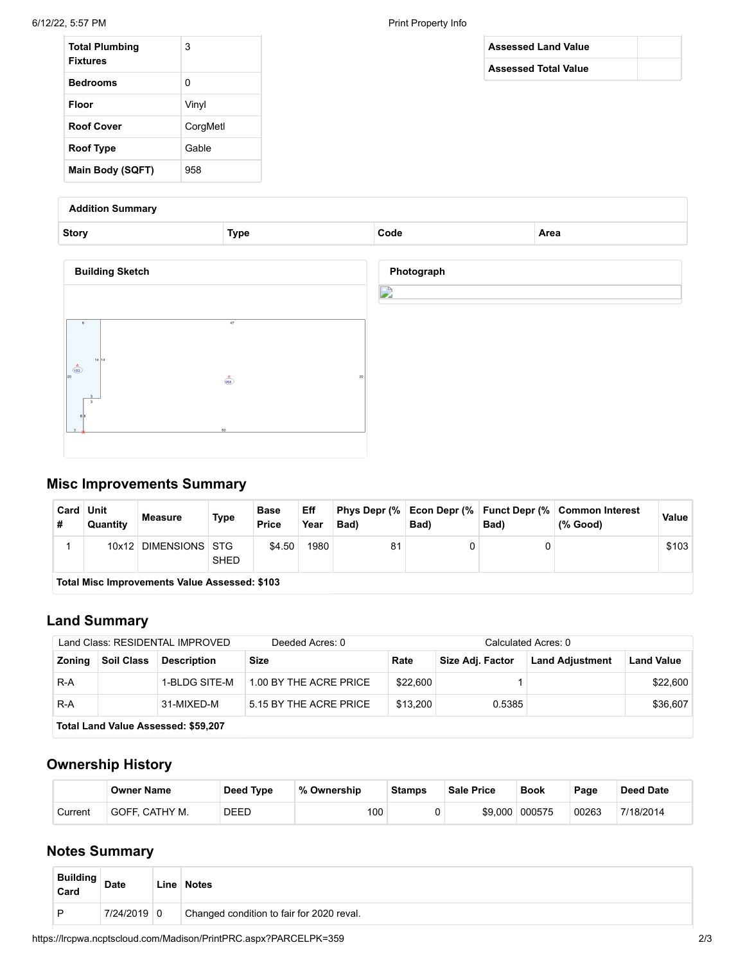| <b>Total Plumbing</b><br><b>Fixtures</b> | 3        |
|------------------------------------------|----------|
| <b>Bedrooms</b>                          | 0        |
| Floor                                    | Vinyl    |
| <b>Roof Cover</b>                        | CorgMetl |
| Roof Type                                | Gable    |
| Main Body (SQFT)                         | 958      |

# **Assessed Land Value Assessed Total Value**

**Addition Summary**

| <b>Story</b>                                   | <b>Type</b>                       | Code            | Area |
|------------------------------------------------|-----------------------------------|-----------------|------|
| <b>Building Sketch</b>                         |                                   | Photograph<br>♪ |      |
| 14 14<br>$\frac{A}{102}$<br>20<br>$\mathbf{3}$ | 47<br>$\frac{6}{958}$<br>20<br>50 |                 |      |

### **Misc Improvements Summary**

| Card Unit<br>Quantity                         | <b>Measure</b> | <b>Type</b> | <b>Base</b><br><b>Price</b> | Eff<br>Year | Bad) | Bad) | Bad) | Phys Depr (%   Econ Depr (%   Funct Depr (%   Common Interest<br>(% Good) | Value |
|-----------------------------------------------|----------------|-------------|-----------------------------|-------------|------|------|------|---------------------------------------------------------------------------|-------|
| 10x12                                         | DIMENSIONS STG | <b>SHED</b> | \$4.50                      | 1980        | 81   |      |      |                                                                           | \$103 |
| Total Misc Improvements Value Assessed: \$103 |                |             |                             |             |      |      |      |                                                                           |       |

#### **Land Summary**

| Land Class: RESIDENTAL IMPROVED<br>Deeded Acres: 0 |                                     |                    |                        | Calculated Acres: 0 |                  |                        |                   |  |
|----------------------------------------------------|-------------------------------------|--------------------|------------------------|---------------------|------------------|------------------------|-------------------|--|
| <b>Zoning</b>                                      | <b>Soil Class</b>                   | <b>Description</b> | Size                   | Rate                | Size Adj. Factor | <b>Land Adjustment</b> | <b>Land Value</b> |  |
| R-A                                                |                                     | 1-BLDG SITE-M      | 1.00 BY THE ACRE PRICE | \$22,600            |                  |                        | \$22,600          |  |
| R-A                                                |                                     | 31-MIXED-M         | 5.15 BY THE ACRE PRICE | \$13,200            | 0.5385           |                        | \$36,607          |  |
|                                                    | Total Land Value Assessed: \$59,207 |                    |                        |                     |                  |                        |                   |  |

## **Ownership History**

|         | <b>Owner Name</b> | Deed Type | % Ownership | <b>Stamps</b> | <b>Sale Price</b> | <b>Book</b> | Page  | <b>Deed Date</b>      |
|---------|-------------------|-----------|-------------|---------------|-------------------|-------------|-------|-----------------------|
| Current | ' GOFF. CATHY M.  | DEED      | 100         |               | \$9,000           | 000575      | 00263 | <sup>7/</sup> 18/2014 |

#### **Notes Summary**

| <b>Building</b><br>Card | <b>Date</b> | Line Notes                                |
|-------------------------|-------------|-------------------------------------------|
| D                       | 7/24/2019 0 | Changed condition to fair for 2020 reval. |